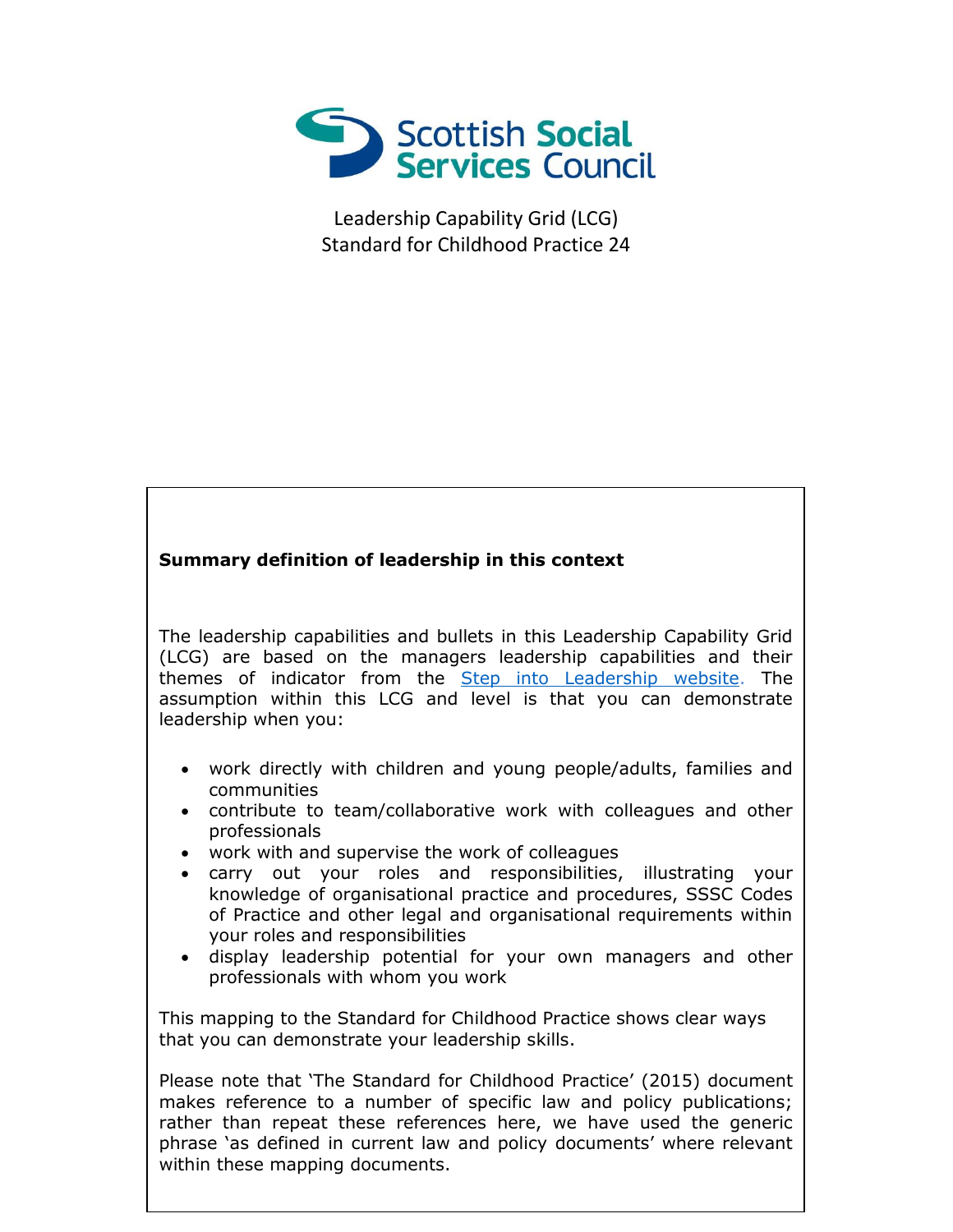

Leadership Capability Grid (LCG) Standard for Childhood Practice 24

## **Summary definition of leadership in this context**

The leadership capabilities and bullets in this Leadership Capability Grid (LCG) are based on the managers leadership capabilities and their themes of indicator from the **Step into Leadership website**. The assumption within this LCG and level is that you can demonstrate leadership when you:

- work directly with children and young people/adults, families and communities
- contribute to team/collaborative work with colleagues and other professionals
- work with and supervise the work of colleagues
- carry out your roles and responsibilities, illustrating your knowledge of organisational practice and procedures, SSSC Codes of Practice and other legal and organisational requirements within your roles and responsibilities
- display leadership potential for your own managers and other professionals with whom you work

This mapping to the Standard for Childhood Practice shows clear ways that you can demonstrate your leadership skills.

phrase 'as defined in current law and policy documents' where relevant Please note that 'The Standard for Childhood Practice' (2015) document makes reference to a number of specific law and policy publications; rather than repeat these references here, we have used the generic within these mapping documents.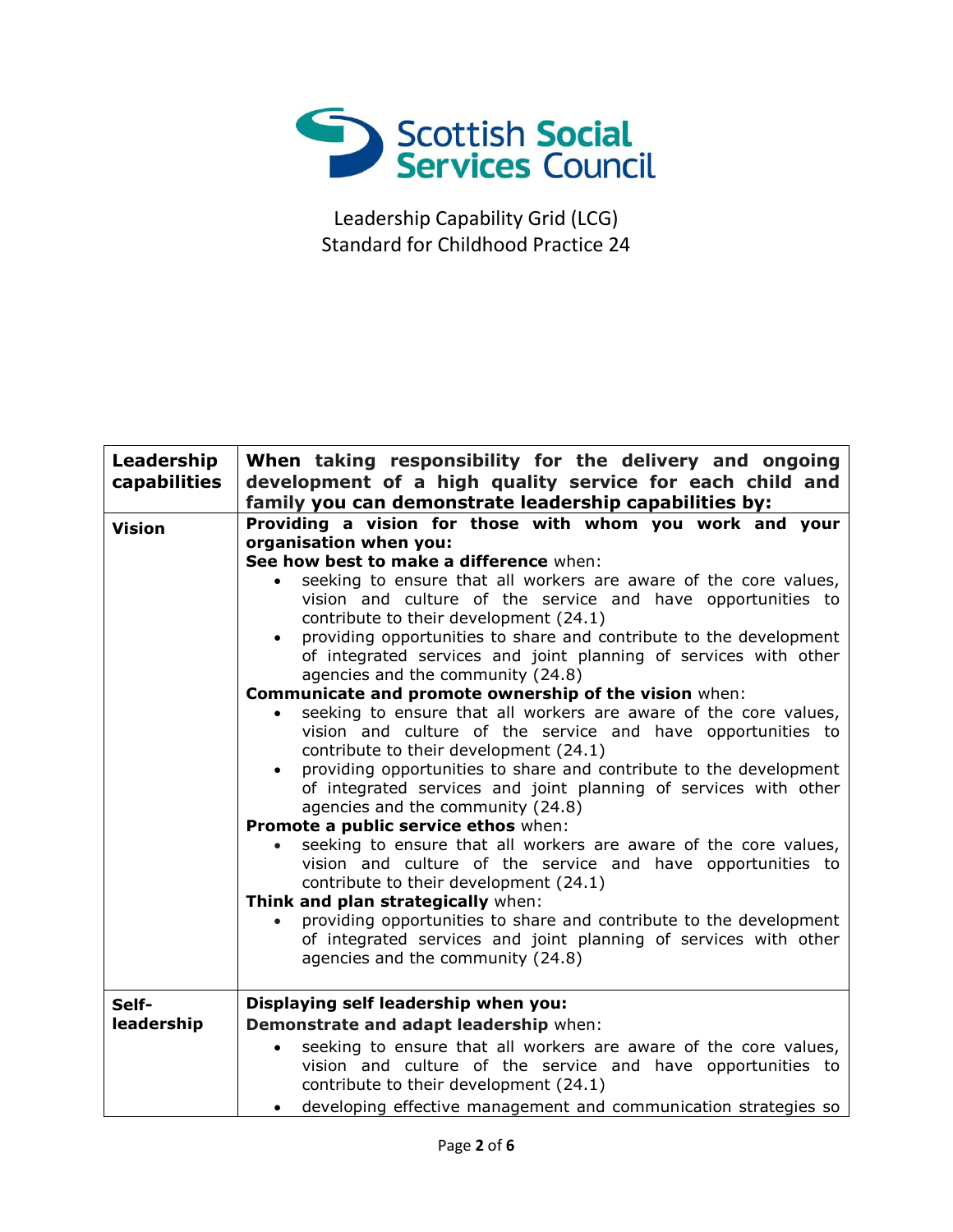

Leadership Capability Grid (LCG) Standard for Childhood Practice 24

| Leadership<br>capabilities | When taking responsibility for the delivery and ongoing<br>development of a high quality service for each child and<br>family you can demonstrate leadership capabilities by:                                                                                                                                                                                                                                                                                                                                                                                                                                                                                                                          |
|----------------------------|--------------------------------------------------------------------------------------------------------------------------------------------------------------------------------------------------------------------------------------------------------------------------------------------------------------------------------------------------------------------------------------------------------------------------------------------------------------------------------------------------------------------------------------------------------------------------------------------------------------------------------------------------------------------------------------------------------|
| <b>Vision</b>              | Providing a vision for those with whom you work and your<br>organisation when you:<br>See how best to make a difference when:<br>seeking to ensure that all workers are aware of the core values,<br>vision and culture of the service and have opportunities to<br>contribute to their development (24.1)<br>providing opportunities to share and contribute to the development<br>$\bullet$<br>of integrated services and joint planning of services with other<br>agencies and the community (24.8)<br>Communicate and promote ownership of the vision when:<br>seeking to ensure that all workers are aware of the core values,                                                                    |
|                            | vision and culture of the service and have opportunities to<br>contribute to their development (24.1)<br>providing opportunities to share and contribute to the development<br>$\bullet$<br>of integrated services and joint planning of services with other<br>agencies and the community (24.8)<br>Promote a public service ethos when:<br>seeking to ensure that all workers are aware of the core values,<br>vision and culture of the service and have opportunities to<br>contribute to their development (24.1)<br>Think and plan strategically when:<br>providing opportunities to share and contribute to the development<br>of integrated services and joint planning of services with other |
|                            | agencies and the community (24.8)                                                                                                                                                                                                                                                                                                                                                                                                                                                                                                                                                                                                                                                                      |
| Self-<br>leadership        | Displaying self leadership when you:<br>Demonstrate and adapt leadership when:<br>seeking to ensure that all workers are aware of the core values,                                                                                                                                                                                                                                                                                                                                                                                                                                                                                                                                                     |
|                            | vision and culture of the service and have opportunities to<br>contribute to their development (24.1)<br>developing effective management and communication strategies so                                                                                                                                                                                                                                                                                                                                                                                                                                                                                                                               |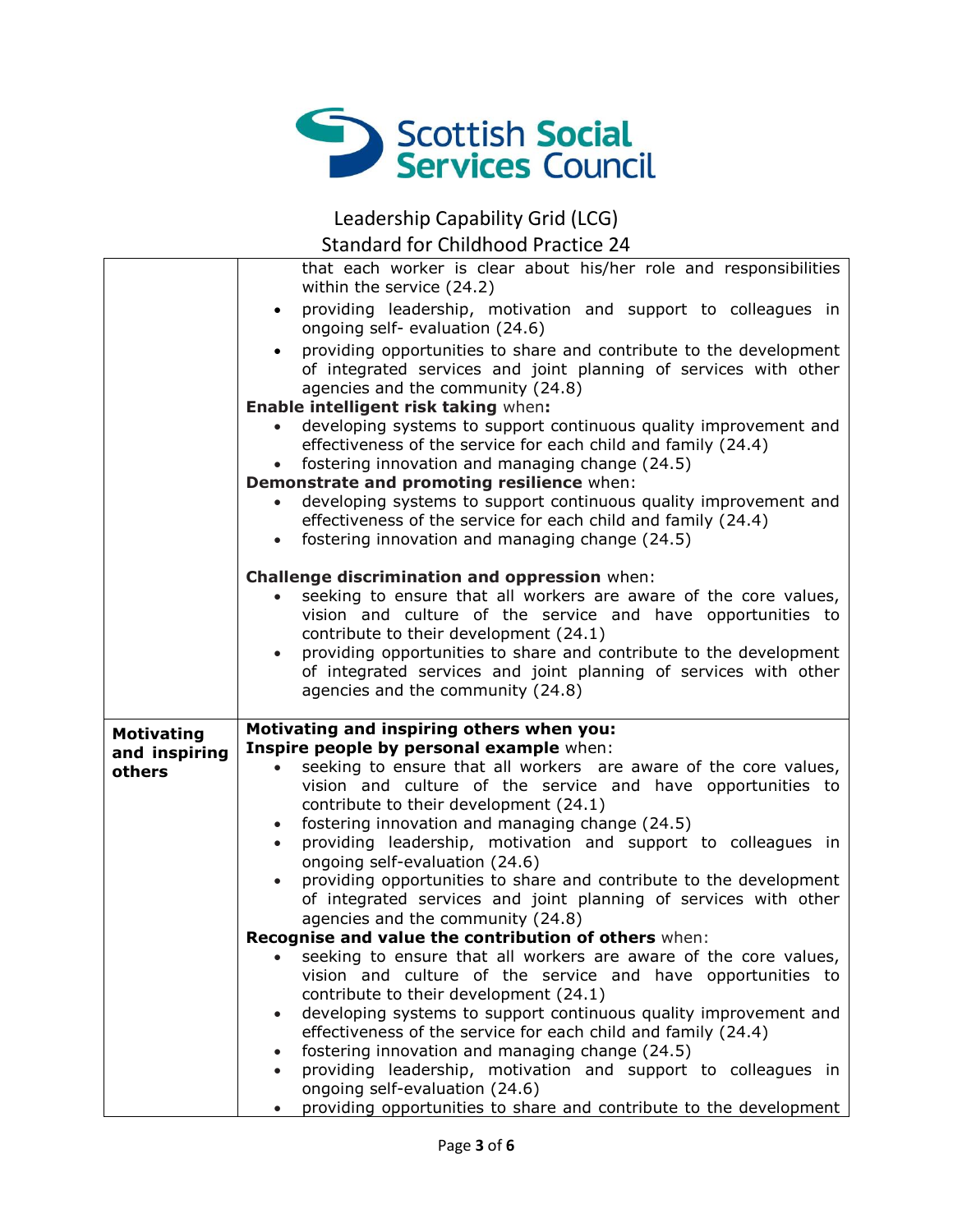

Leadership Capability Grid (LCG)

Standard for Childhood Practice 24

|                   | that each worker is clear about his/her role and responsibilities<br>within the service (24.2)                                                                              |
|-------------------|-----------------------------------------------------------------------------------------------------------------------------------------------------------------------------|
|                   | providing leadership, motivation and support to colleagues in<br>$\bullet$<br>ongoing self- evaluation (24.6)                                                               |
|                   | providing opportunities to share and contribute to the development<br>of integrated services and joint planning of services with other<br>agencies and the community (24.8) |
|                   | Enable intelligent risk taking when:                                                                                                                                        |
|                   | developing systems to support continuous quality improvement and                                                                                                            |
|                   | effectiveness of the service for each child and family (24.4)                                                                                                               |
|                   | fostering innovation and managing change (24.5)<br>$\bullet$                                                                                                                |
|                   | Demonstrate and promoting resilience when:                                                                                                                                  |
|                   | developing systems to support continuous quality improvement and<br>$\bullet$<br>effectiveness of the service for each child and family (24.4)                              |
|                   | fostering innovation and managing change (24.5)<br>$\bullet$                                                                                                                |
|                   |                                                                                                                                                                             |
|                   | Challenge discrimination and oppression when:                                                                                                                               |
|                   | seeking to ensure that all workers are aware of the core values,                                                                                                            |
|                   | vision and culture of the service and have opportunities to                                                                                                                 |
|                   | contribute to their development (24.1)<br>providing opportunities to share and contribute to the development<br>$\bullet$                                                   |
|                   | of integrated services and joint planning of services with other                                                                                                            |
|                   | agencies and the community (24.8)                                                                                                                                           |
|                   |                                                                                                                                                                             |
|                   |                                                                                                                                                                             |
| <b>Motivating</b> | Motivating and inspiring others when you:                                                                                                                                   |
| and inspiring     | Inspire people by personal example when:                                                                                                                                    |
| others            | seeking to ensure that all workers are aware of the core values,                                                                                                            |
|                   | vision and culture of the service and have opportunities to<br>contribute to their development (24.1)                                                                       |
|                   | fostering innovation and managing change (24.5)<br>$\bullet$                                                                                                                |
|                   | providing leadership, motivation and support to colleagues in<br>$\bullet$                                                                                                  |
|                   | ongoing self-evaluation (24.6)                                                                                                                                              |
|                   | providing opportunities to share and contribute to the development                                                                                                          |
|                   | of integrated services and joint planning of services with other<br>agencies and the community (24.8)                                                                       |
|                   | Recognise and value the contribution of others when:                                                                                                                        |
|                   | seeking to ensure that all workers are aware of the core values,                                                                                                            |
|                   | vision and culture of the service and have opportunities to                                                                                                                 |
|                   | contribute to their development (24.1)                                                                                                                                      |
|                   | developing systems to support continuous quality improvement and                                                                                                            |
|                   | effectiveness of the service for each child and family (24.4)<br>fostering innovation and managing change (24.5)                                                            |
|                   | providing leadership, motivation and support to colleagues in                                                                                                               |
|                   | ongoing self-evaluation (24.6)<br>providing opportunities to share and contribute to the development                                                                        |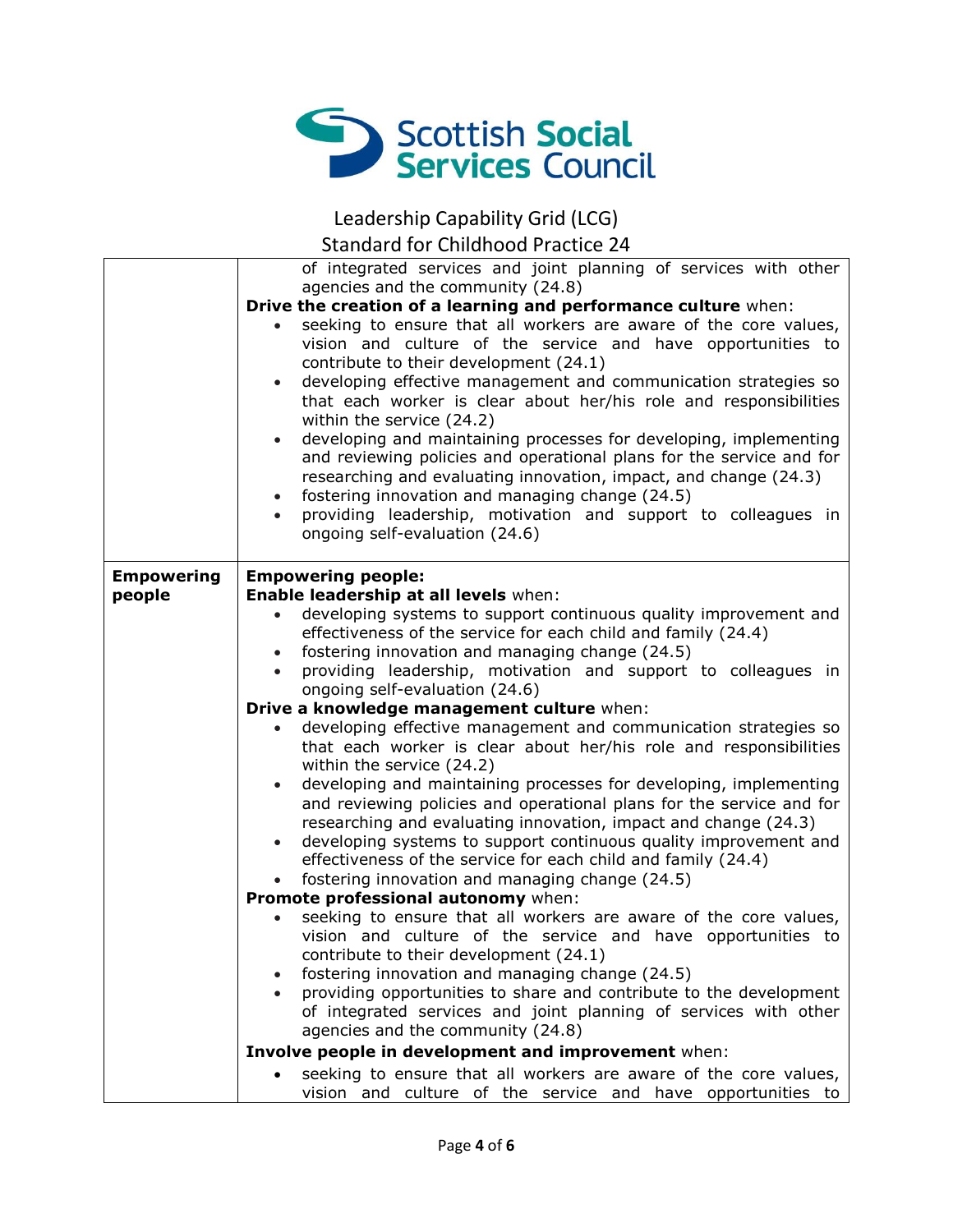

Leadership Capability Grid (LCG)

Standard for Childhood Practice 24

|                   | of integrated services and joint planning of services with other                                                                                                                                                                                                                                                                                                                                                                                                                                                                                                                                                                                                                                                                                                                                                  |
|-------------------|-------------------------------------------------------------------------------------------------------------------------------------------------------------------------------------------------------------------------------------------------------------------------------------------------------------------------------------------------------------------------------------------------------------------------------------------------------------------------------------------------------------------------------------------------------------------------------------------------------------------------------------------------------------------------------------------------------------------------------------------------------------------------------------------------------------------|
|                   | agencies and the community (24.8)                                                                                                                                                                                                                                                                                                                                                                                                                                                                                                                                                                                                                                                                                                                                                                                 |
|                   | Drive the creation of a learning and performance culture when:<br>seeking to ensure that all workers are aware of the core values,<br>vision and culture of the service and have opportunities to<br>contribute to their development (24.1)<br>developing effective management and communication strategies so<br>$\bullet$<br>that each worker is clear about her/his role and responsibilities<br>within the service (24.2)<br>developing and maintaining processes for developing, implementing<br>and reviewing policies and operational plans for the service and for<br>researching and evaluating innovation, impact, and change (24.3)<br>fostering innovation and managing change (24.5)<br>$\bullet$<br>providing leadership, motivation and support to colleagues in<br>ongoing self-evaluation (24.6) |
| <b>Empowering</b> | <b>Empowering people:</b>                                                                                                                                                                                                                                                                                                                                                                                                                                                                                                                                                                                                                                                                                                                                                                                         |
| people            | Enable leadership at all levels when:                                                                                                                                                                                                                                                                                                                                                                                                                                                                                                                                                                                                                                                                                                                                                                             |
|                   | developing systems to support continuous quality improvement and                                                                                                                                                                                                                                                                                                                                                                                                                                                                                                                                                                                                                                                                                                                                                  |
|                   | effectiveness of the service for each child and family (24.4)                                                                                                                                                                                                                                                                                                                                                                                                                                                                                                                                                                                                                                                                                                                                                     |
|                   | fostering innovation and managing change (24.5)<br>$\bullet$                                                                                                                                                                                                                                                                                                                                                                                                                                                                                                                                                                                                                                                                                                                                                      |
|                   | providing leadership, motivation and support to colleagues in                                                                                                                                                                                                                                                                                                                                                                                                                                                                                                                                                                                                                                                                                                                                                     |
|                   | ongoing self-evaluation (24.6)                                                                                                                                                                                                                                                                                                                                                                                                                                                                                                                                                                                                                                                                                                                                                                                    |
|                   | Drive a knowledge management culture when:                                                                                                                                                                                                                                                                                                                                                                                                                                                                                                                                                                                                                                                                                                                                                                        |
|                   | developing effective management and communication strategies so<br>$\bullet$<br>that each worker is clear about her/his role and responsibilities                                                                                                                                                                                                                                                                                                                                                                                                                                                                                                                                                                                                                                                                 |
|                   | within the service (24.2)                                                                                                                                                                                                                                                                                                                                                                                                                                                                                                                                                                                                                                                                                                                                                                                         |
|                   | developing and maintaining processes for developing, implementing<br>$\bullet$                                                                                                                                                                                                                                                                                                                                                                                                                                                                                                                                                                                                                                                                                                                                    |
|                   | and reviewing policies and operational plans for the service and for                                                                                                                                                                                                                                                                                                                                                                                                                                                                                                                                                                                                                                                                                                                                              |
|                   | researching and evaluating innovation, impact and change (24.3)                                                                                                                                                                                                                                                                                                                                                                                                                                                                                                                                                                                                                                                                                                                                                   |
|                   | developing systems to support continuous quality improvement and<br>$\bullet$<br>effectiveness of the service for each child and family (24.4)                                                                                                                                                                                                                                                                                                                                                                                                                                                                                                                                                                                                                                                                    |
|                   | fostering innovation and managing change (24.5)<br>$\bullet$                                                                                                                                                                                                                                                                                                                                                                                                                                                                                                                                                                                                                                                                                                                                                      |
|                   | Promote professional autonomy when:                                                                                                                                                                                                                                                                                                                                                                                                                                                                                                                                                                                                                                                                                                                                                                               |
|                   | seeking to ensure that all workers are aware of the core values,<br>$\bullet$                                                                                                                                                                                                                                                                                                                                                                                                                                                                                                                                                                                                                                                                                                                                     |
|                   | vision and culture of the service and have opportunities to                                                                                                                                                                                                                                                                                                                                                                                                                                                                                                                                                                                                                                                                                                                                                       |
|                   | contribute to their development (24.1)                                                                                                                                                                                                                                                                                                                                                                                                                                                                                                                                                                                                                                                                                                                                                                            |
|                   | fostering innovation and managing change (24.5)                                                                                                                                                                                                                                                                                                                                                                                                                                                                                                                                                                                                                                                                                                                                                                   |
|                   | providing opportunities to share and contribute to the development                                                                                                                                                                                                                                                                                                                                                                                                                                                                                                                                                                                                                                                                                                                                                |
|                   | of integrated services and joint planning of services with other                                                                                                                                                                                                                                                                                                                                                                                                                                                                                                                                                                                                                                                                                                                                                  |
|                   | agencies and the community (24.8)                                                                                                                                                                                                                                                                                                                                                                                                                                                                                                                                                                                                                                                                                                                                                                                 |
|                   | Involve people in development and improvement when:                                                                                                                                                                                                                                                                                                                                                                                                                                                                                                                                                                                                                                                                                                                                                               |
|                   | seeking to ensure that all workers are aware of the core values,                                                                                                                                                                                                                                                                                                                                                                                                                                                                                                                                                                                                                                                                                                                                                  |
|                   | vision and culture of the service and have opportunities to                                                                                                                                                                                                                                                                                                                                                                                                                                                                                                                                                                                                                                                                                                                                                       |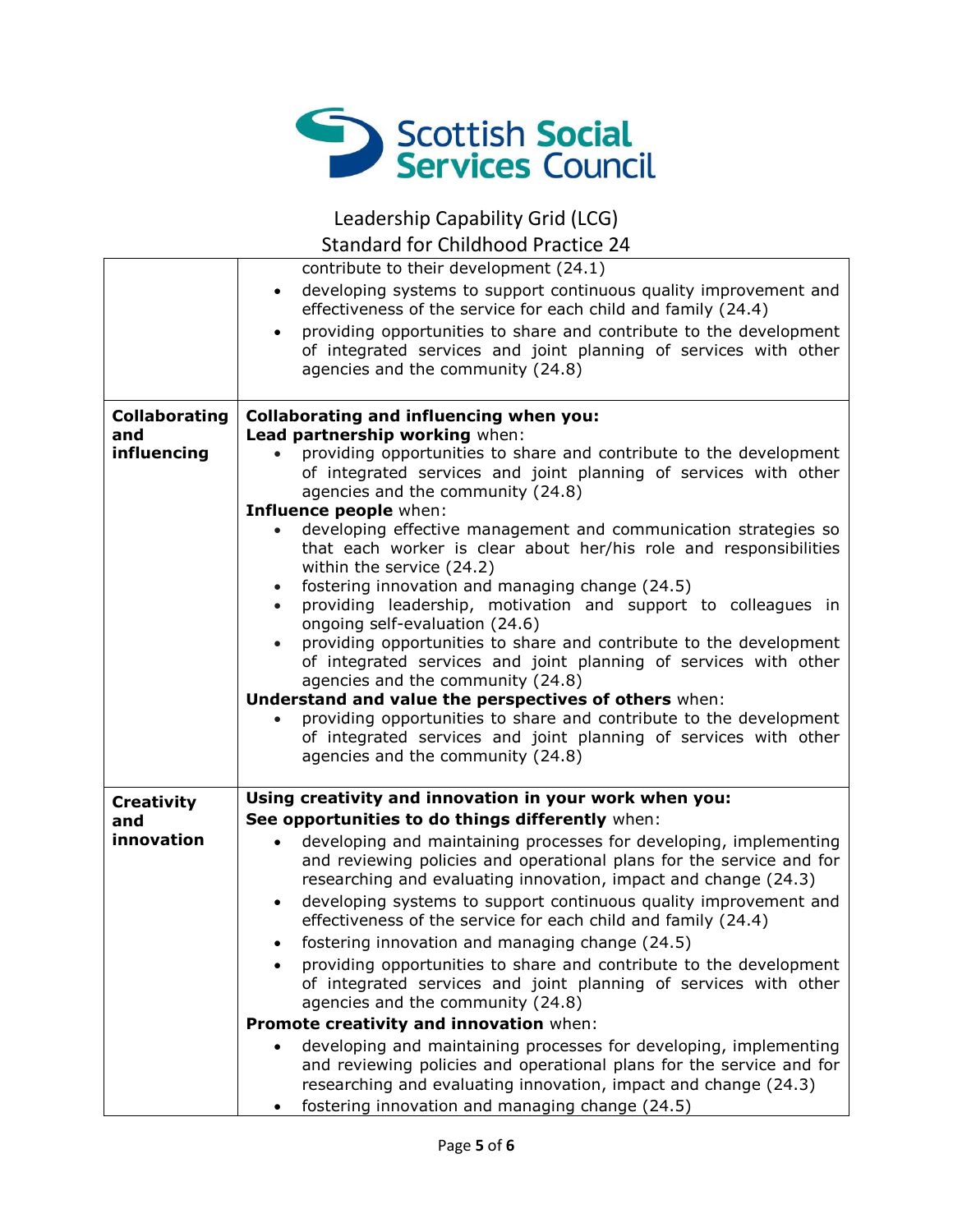

Leadership Capability Grid (LCG)

Standard for Childhood Practice 24

|                          | contribute to their development (24.1)                                                                                                                                                   |
|--------------------------|------------------------------------------------------------------------------------------------------------------------------------------------------------------------------------------|
|                          | developing systems to support continuous quality improvement and<br>$\bullet$<br>effectiveness of the service for each child and family (24.4)                                           |
|                          | providing opportunities to share and contribute to the development<br>$\bullet$<br>of integrated services and joint planning of services with other<br>agencies and the community (24.8) |
| <b>Collaborating</b>     | <b>Collaborating and influencing when you:</b>                                                                                                                                           |
| and<br>influencing       | Lead partnership working when:<br>providing opportunities to share and contribute to the development                                                                                     |
|                          | of integrated services and joint planning of services with other<br>agencies and the community (24.8)                                                                                    |
|                          | Influence people when:                                                                                                                                                                   |
|                          | developing effective management and communication strategies so<br>that each worker is clear about her/his role and responsibilities<br>within the service (24.2)                        |
|                          | fostering innovation and managing change (24.5)<br>$\bullet$<br>providing leadership, motivation and support to colleagues in<br>$\bullet$<br>ongoing self-evaluation (24.6)             |
|                          | providing opportunities to share and contribute to the development<br>$\bullet$                                                                                                          |
|                          | of integrated services and joint planning of services with other                                                                                                                         |
|                          | agencies and the community (24.8)<br>Understand and value the perspectives of others when:                                                                                               |
|                          | providing opportunities to share and contribute to the development                                                                                                                       |
|                          | of integrated services and joint planning of services with other                                                                                                                         |
|                          | agencies and the community (24.8)                                                                                                                                                        |
|                          | Using creativity and innovation in your work when you:                                                                                                                                   |
| <b>Creativity</b><br>and | See opportunities to do things differently when:                                                                                                                                         |
| innovation               | developing and maintaining processes for developing, implementing<br>$\bullet$                                                                                                           |
|                          | and reviewing policies and operational plans for the service and for                                                                                                                     |
|                          | researching and evaluating innovation, impact and change (24.3)                                                                                                                          |
|                          | developing systems to support continuous quality improvement and<br>$\bullet$                                                                                                            |
|                          | effectiveness of the service for each child and family (24.4)                                                                                                                            |
|                          | fostering innovation and managing change (24.5)<br>$\bullet$<br>providing opportunities to share and contribute to the development                                                       |
|                          | of integrated services and joint planning of services with other                                                                                                                         |
|                          | agencies and the community (24.8)                                                                                                                                                        |
|                          | Promote creativity and innovation when:                                                                                                                                                  |
|                          | developing and maintaining processes for developing, implementing                                                                                                                        |
|                          | and reviewing policies and operational plans for the service and for<br>researching and evaluating innovation, impact and change (24.3)                                                  |
|                          | fostering innovation and managing change (24.5)                                                                                                                                          |
|                          |                                                                                                                                                                                          |